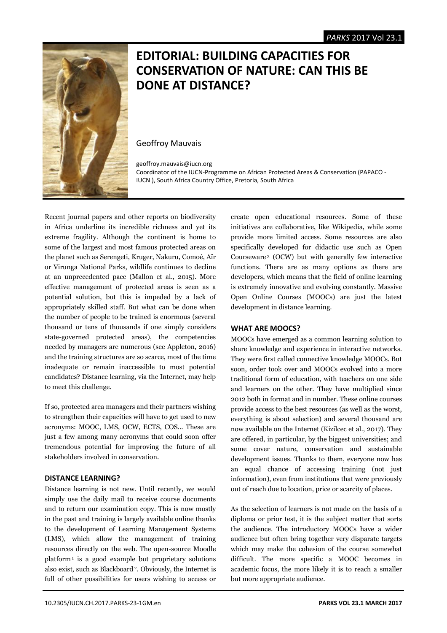

# **EDITORIAL: BUILDING CAPACITIES FOR CONSERVATION OF NATURE: CAN THIS BE DONE AT DISTANCE?**

Geoffroy Mauvais

geoffroy.mauvais@iucn.org Coordinator of the IUCN-Programme on African Protected Areas & Conservation (PAPACO - IUCN ), South Africa Country Office, Pretoria, South Africa

Recent journal papers and other reports on biodiversity in Africa underline its incredible richness and yet its extreme fragility. Although the continent is home to some of the largest and most famous protected areas on the planet such as Serengeti, Kruger, Nakuru, Comoé, Aïr or Virunga National Parks, wildlife continues to decline at an unprecedented pace (Mallon et al., 2015). More effective management of protected areas is seen as a potential solution, but this is impeded by a lack of appropriately skilled staff. But what can be done when the number of people to be trained is enormous (several thousand or tens of thousands if one simply considers state-governed protected areas), the competencies needed by managers are numerous (see Appleton, 2016) and the training structures are so scarce, most of the time inadequate or remain inaccessible to most potential candidates? Distance learning, via the Internet, may help to meet this challenge.

If so, protected area managers and their partners wishing to strengthen their capacities will have to get used to new acronyms: MOOC, LMS, OCW, ECTS, COS... These are just a few among many acronyms that could soon offer tremendous potential for improving the future of all stakeholders involved in conservation.

# **DISTANCE LEARNING?**

Distance learning is not new. Until recently, we would simply use the daily mail to receive course documents and to return our examination copy. This is now mostly in the past and training is largely available online thanks to the development of Learning Management Systems (LMS), which allow the management of training resources directly on the web. The open-source Moodle platform <sup>1</sup> is a good example but proprietary solutions also exist, such as Blackboard <sup>2</sup>. Obviously, the Internet is full of other possibilities for users wishing to access or

create open educational resources. Some of these initiatives are collaborative, like Wikipedia, while some provide more limited access. Some resources are also specifically developed for didactic use such as Open Courseware <sup>3</sup> (OCW) but with generally few interactive functions. There are as many options as there are developers, which means that the field of online learning is extremely innovative and evolving constantly. Massive Open Online Courses (MOOCs) are just the latest development in distance learning.

# **WHAT ARE MOOCS?**

MOOCs have emerged as a common learning solution to share knowledge and experience in interactive networks. They were first called connective knowledge MOOCs. But soon, order took over and MOOCs evolved into a more traditional form of education, with teachers on one side and learners on the other. They have multiplied since 2012 both in format and in number. These online courses provide access to the best resources (as well as the worst, everything is about selection) and several thousand are now available on the Internet (Kizilcec et al., 2017). They are offered, in particular, by the biggest universities; and some cover nature, conservation and sustainable development issues. Thanks to them, everyone now has an equal chance of accessing training (not just information), even from institutions that were previously out of reach due to location, price or scarcity of places.

As the selection of learners is not made on the basis of a diploma or prior test, it is the subject matter that sorts the audience. The introductory MOOCs have a wider audience but often bring together very disparate targets which may make the cohesion of the course somewhat difficult. The more specific a MOOC becomes in academic focus, the more likely it is to reach a smaller but more appropriate audience.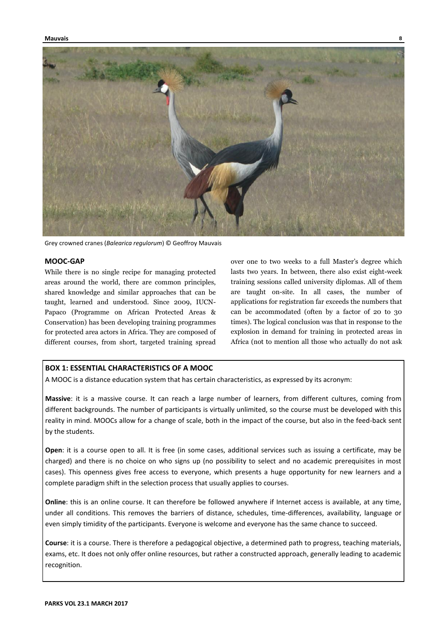

Grey crowned cranes (*Balearica regulorum*) © Geoffroy Mauvais

## **MOOC-GAP**

While there is no single recipe for managing protected areas around the world, there are common principles, shared knowledge and similar approaches that can be taught, learned and understood. Since 2009, IUCN-Papaco (Programme on African Protected Areas & Conservation) has been developing training programmes for protected area actors in Africa. They are composed of different courses, from short, targeted training spread over one to two weeks to a full Master's degree which lasts two years. In between, there also exist eight-week training sessions called university diplomas. All of them are taught on-site. In all cases, the number of applications for registration far exceeds the numbers that can be accommodated (often by a factor of 20 to 30 times). The logical conclusion was that in response to the explosion in demand for training in protected areas in Africa (not to mention all those who actually do not ask

#### **BOX 1: ESSENTIAL CHARACTERISTICS OF A MOOC**

A MOOC is a distance education system that has certain characteristics, as expressed by its acronym:

**Massive**: it is a massive course. It can reach a large number of learners, from different cultures, coming from different backgrounds. The number of participants is virtually unlimited, so the course must be developed with this reality in mind. MOOCs allow for a change of scale, both in the impact of the course, but also in the feed-back sent by the students.

**Open**: it is a course open to all. It is free (in some cases, additional services such as issuing a certificate, may be charged) and there is no choice on who signs up (no possibility to select and no academic prerequisites in most cases). This openness gives free access to everyone, which presents a huge opportunity for new learners and a complete paradigm shift in the selection process that usually applies to courses.

**Online**: this is an online course. It can therefore be followed anywhere if Internet access is available, at any time, under all conditions. This removes the barriers of distance, schedules, time-differences, availability, language or even simply timidity of the participants. Everyone is welcome and everyone has the same chance to succeed.

**Course**: it is a course. There is therefore a pedagogical objective, a determined path to progress, teaching materials, exams, etc. It does not only offer online resources, but rather a constructed approach, generally leading to academic recognition.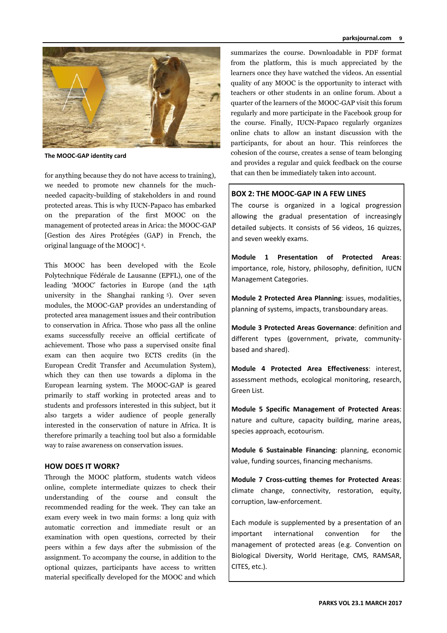

**The MOOC-GAP identity card**

for anything because they do not have access to training), we needed to promote new channels for the muchneeded capacity-building of stakeholders in and round protected areas. This is why IUCN-Papaco has embarked on the preparation of the first MOOC on the management of protected areas in Arica: the MOOC-GAP [Gestion des Aires Protégées (GAP) in French, the original language of the MOOC] 4.

This MOOC has been developed with the Ecole Polytechnique Fédérale de Lausanne (EPFL), one of the leading 'MOOC' factories in Europe (and the 14th university in the Shanghai ranking <sup>5</sup>). Over seven modules, the MOOC-GAP provides an understanding of protected area management issues and their contribution to conservation in Africa. Those who pass all the online exams successfully receive an official certificate of achievement. Those who pass a supervised onsite final exam can then acquire two ECTS credits (in the European Credit Transfer and Accumulation System), which they can then use towards a diploma in the European learning system. The MOOC-GAP is geared primarily to staff working in protected areas and to students and professors interested in this subject, but it also targets a wider audience of people generally interested in the conservation of nature in Africa. It is therefore primarily a teaching tool but also a formidable way to raise awareness on conservation issues.

## **HOW DOES IT WORK?**

Through the MOOC platform, students watch videos online, complete intermediate quizzes to check their understanding of the course and consult the recommended reading for the week. They can take an exam every week in two main forms: a long quiz with automatic correction and immediate result or an examination with open questions, corrected by their peers within a few days after the submission of the assignment. To accompany the course, in addition to the optional quizzes, participants have access to written material specifically developed for the MOOC and which

summarizes the course. Downloadable in PDF format from the platform, this is much appreciated by the learners once they have watched the videos. An essential quality of any MOOC is the opportunity to interact with teachers or other students in an online forum. About a quarter of the learners of the MOOC-GAP visit this forum regularly and more participate in the Facebook group for the course. Finally, IUCN-Papaco regularly organizes online chats to allow an instant discussion with the participants, for about an hour. This reinforces the cohesion of the course, creates a sense of team belonging and provides a regular and quick feedback on the course that can then be immediately taken into account.

# **BOX 2: THE MOOC-GAP IN A FEW LINES**

The course is organized in a logical progression allowing the gradual presentation of increasingly detailed subjects. It consists of 56 videos, 16 quizzes, and seven weekly exams.

**Module 1 Presentation of Protected Areas**: importance, role, history, philosophy, definition, IUCN Management Categories.

**Module 2 Protected Area Planning**: issues, modalities, planning of systems, impacts, transboundary areas.

**Module 3 Protected Areas Governance**: definition and different types (government, private, communitybased and shared).

**Module 4 Protected Area Effectiveness**: interest, assessment methods, ecological monitoring, research, Green List.

**Module 5 Specific Management of Protected Areas**: nature and culture, capacity building, marine areas, species approach, ecotourism.

**Module 6 Sustainable Financing**: planning, economic value, funding sources, financing mechanisms.

**Module 7 Cross-cutting themes for Protected Areas**: climate change, connectivity, restoration, equity, corruption, law-enforcement.

Each module is supplemented by a presentation of an important international convention for the management of protected areas (e.g. Convention on Biological Diversity, World Heritage, CMS, RAMSAR, CITES, etc.).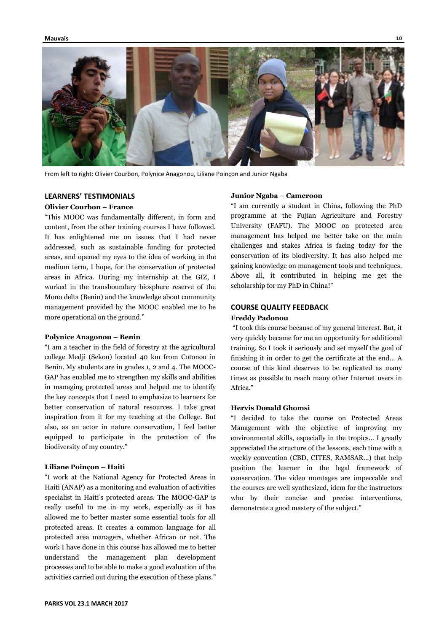

From left to right: Olivier Courbon, Polynice Anagonou, Liliane Poinçon and Junior Ngaba

## **LEARNERS' TESTIMONIALS**

#### **Olivier Courbon – France**

"This MOOC was fundamentally different, in form and content, from the other training courses I have followed. It has enlightened me on issues that I had never addressed, such as sustainable funding for protected areas, and opened my eyes to the idea of working in the medium term, I hope, for the conservation of protected areas in Africa. During my internship at the GIZ, I worked in the transboundary biosphere reserve of the Mono delta (Benin) and the knowledge about community management provided by the MOOC enabled me to be more operational on the ground."

#### **Polynice Anagonou – Benin**

"I am a teacher in the field of forestry at the agricultural college Medji (Sekou) located 40 km from Cotonou in Benin. My students are in grades 1, 2 and 4. The MOOC-GAP has enabled me to strengthen my skills and abilities in managing protected areas and helped me to identify the key concepts that I need to emphasize to learners for better conservation of natural resources. I take great inspiration from it for my teaching at the College. But also, as an actor in nature conservation, I feel better equipped to participate in the protection of the biodiversity of my country."

#### **Liliane Poinçon – Haiti**

"I work at the National Agency for Protected Areas in Haiti (ANAP) as a monitoring and evaluation of activities specialist in Haiti's protected areas. The MOOC-GAP is really useful to me in my work, especially as it has allowed me to better master some essential tools for all protected areas. It creates a common language for all protected area managers, whether African or not. The work I have done in this course has allowed me to better understand the management plan development processes and to be able to make a good evaluation of the activities carried out during the execution of these plans."

#### **Junior Ngaba – Cameroon**

"I am currently a student in China, following the PhD programme at the Fujian Agriculture and Forestry University (FAFU). The MOOC on protected area management has helped me better take on the main challenges and stakes Africa is facing today for the conservation of its biodiversity. It has also helped me gaining knowledge on management tools and techniques. Above all, it contributed in helping me get the scholarship for my PhD in China!"

#### **COURSE QUALITY FEEDBACK**

#### **Freddy Padonou**

"I took this course because of my general interest. But, it very quickly became for me an opportunity for additional training. So I took it seriously and set myself the goal of finishing it in order to get the certificate at the end… A course of this kind deserves to be replicated as many times as possible to reach many other Internet users in Africa."

#### **Hervis Donald Ghomsi**

"I decided to take the course on Protected Areas Management with the objective of improving my environmental skills, especially in the tropics... I greatly appreciated the structure of the lessons, each time with a weekly convention (CBD, CITES, RAMSAR...) that help position the learner in the legal framework of conservation. The video montages are impeccable and the courses are well synthesized, idem for the instructors who by their concise and precise interventions, demonstrate a good mastery of the subject."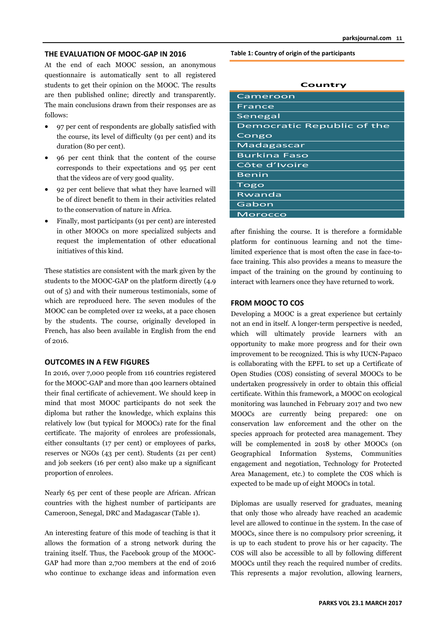#### **THE EVALUATION OF MOOC-GAP IN 2016**

At the end of each MOOC session, an anonymous questionnaire is automatically sent to all registered students to get their opinion on the MOOC. The results are then published online; directly and transparently. The main conclusions drawn from their responses are as follows:

- 97 per cent of respondents are globally satisfied with the course, its level of difficulty (91 per cent) and its duration (80 per cent).
- 96 per cent think that the content of the course corresponds to their expectations and 95 per cent that the videos are of very good quality.
- 92 per cent believe that what they have learned will be of direct benefit to them in their activities related to the conservation of nature in Africa.
- Finally, most participants (91 per cent) are interested in other MOOCs on more specialized subjects and request the implementation of other educational initiatives of this kind.

These statistics are consistent with the mark given by the students to the MOOC-GAP on the platform directly (4.9 out of 5) and with their numerous testimonials, some of which are reproduced here. The seven modules of the MOOC can be completed over 12 weeks, at a pace chosen by the students. The course, originally developed in French, has also been available in English from the end of 2016.

#### **OUTCOMES IN A FEW FIGURES**

In 2016, over 7,000 people from 116 countries registered for the MOOC-GAP and more than 400 learners obtained their final certificate of achievement. We should keep in mind that most MOOC participants do not seek the diploma but rather the knowledge, which explains this relatively low (but typical for MOOCs) rate for the final certificate. The majority of enrolees are professionals, either consultants (17 per cent) or employees of parks, reserves or NGOs (43 per cent). Students (21 per cent) and job seekers (16 per cent) also make up a significant proportion of enrolees.

Nearly 65 per cent of these people are African. African countries with the highest number of participants are Cameroon, Senegal, DRC and Madagascar (Table 1).

An interesting feature of this mode of teaching is that it allows the formation of a strong network during the training itself. Thus, the Facebook group of the MOOC-GAP had more than 2,700 members at the end of 2016 who continue to exchange ideas and information even **Table 1: Country of origin of the participants**

| Cameroon                   |
|----------------------------|
| France                     |
| Senegal                    |
| Democratic Republic of the |
| Congo                      |
| Madagascar                 |
| <b>Burkina Faso</b>        |
| Côte d'Ivoire              |
| <b>Benin</b>               |
| Togo                       |
| Rwanda                     |
| Gabon                      |
| <u>Morocco</u>             |

**Country**

after finishing the course. It is therefore a formidable platform for continuous learning and not the timelimited experience that is most often the case in face-toface training. This also provides a means to measure the impact of the training on the ground by continuing to interact with learners once they have returned to work.

#### **FROM MOOC TO COS**

Developing a MOOC is a great experience but certainly not an end in itself. A longer-term perspective is needed, which will ultimately provide learners with an opportunity to make more progress and for their own improvement to be recognized. This is why IUCN-Papaco is collaborating with the EPFL to set up a Certificate of Open Studies (COS) consisting of several MOOCs to be undertaken progressively in order to obtain this official certificate. Within this framework, a MOOC on ecological monitoring was launched in February 2017 and two new MOOCs are currently being prepared: one on conservation law enforcement and the other on the species approach for protected area management. They will be complemented in 2018 by other MOOCs (on Geographical Information Systems, Communities engagement and negotiation, Technology for Protected Area Management, etc.) to complete the COS which is expected to be made up of eight MOOCs in total.

Diplomas are usually reserved for graduates, meaning that only those who already have reached an academic level are allowed to continue in the system. In the case of MOOCs, since there is no compulsory prior screening, it is up to each student to prove his or her capacity. The COS will also be accessible to all by following different MOOCs until they reach the required number of credits. This represents a major revolution, allowing learners,